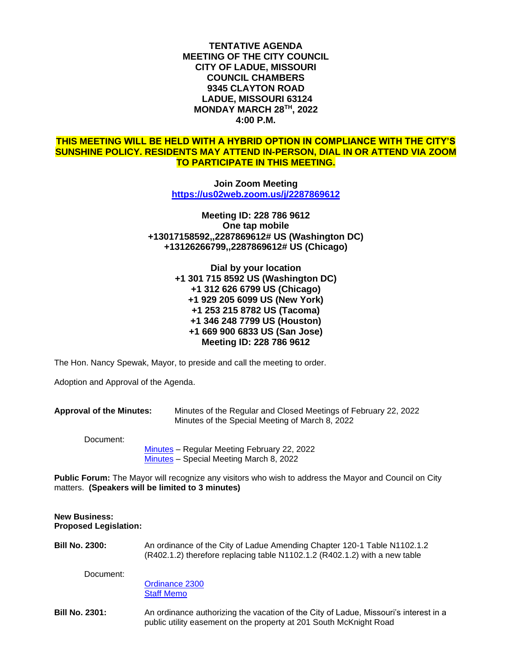**TENTATIVE AGENDA MEETING OF THE CITY COUNCIL CITY OF LADUE, MISSOURI COUNCIL CHAMBERS 9345 CLAYTON ROAD LADUE, MISSOURI 63124 MONDAY MARCH 28TH , 2022 4:00 P.M.**

# **THIS MEETING WILL BE HELD WITH A HYBRID OPTION IN COMPLIANCE WITH THE CITY'S SUNSHINE POLICY. RESIDENTS MAY ATTEND IN-PERSON, DIAL IN OR ATTEND VIA ZOOM TO PARTICIPATE IN THIS MEETING.**

**Join Zoom Meeting <https://us02web.zoom.us/j/2287869612>**

**Meeting ID: 228 786 9612 One tap mobile +13017158592,,2287869612# US (Washington DC) +13126266799,,2287869612# US (Chicago)**

> **Dial by your location +1 301 715 8592 US (Washington DC) +1 312 626 6799 US (Chicago) +1 929 205 6099 US (New York) +1 253 215 8782 US (Tacoma) +1 346 248 7799 US (Houston) +1 669 900 6833 US (San Jose) Meeting ID: 228 786 9612**

The Hon. Nancy Spewak, Mayor, to preside and call the meeting to order.

Adoption and Approval of the Agenda.

**Approval of the Minutes:** Minutes of the Regular and Closed Meetings of February 22, 2022 Minutes of the Special Meeting of March 8, 2022

Document:

[Minutes](https://www.cityofladue-mo.gov/mm/files/2022/Council%20Packets/2022-03-28/2022-02-22%20Draft%20Minutes.pdf) – Regular Meeting February 22, 2022 [Minutes](https://www.cityofladue-mo.gov/mm/files/2022/Council%20Packets/2022-03-28/2022.03.08%20Special%20Meeting%20Minutes.pdf) – Special Meeting March 8, 2022

**Public Forum:** The Mayor will recognize any visitors who wish to address the Mayor and Council on City matters. **(Speakers will be limited to 3 minutes)**

### **New Business: Proposed Legislation:**

**Bill No. 2300:** An ordinance of the City of Ladue Amending Chapter 120-1 Table N1102.1.2 (R402.1.2) therefore replacing table N1102.1.2 (R402.1.2) with a new table

Document:

[Ordinance 2300](https://www.cityofladue-mo.gov/mm/files/2022/Council%20Packets/2022-03-28/Ordinance%202300%20IRC%202021%20Table%20Amendment.pdf) [Staff Memo](https://www.cityofladue-mo.gov/mm/files/2022/Council%20Packets/2022-03-28/Ordinance%202300%20Staff%20Memo.pdf)

**Bill No. 2301:** An ordinance authorizing the vacation of the City of Ladue, Missouri's interest in a public utility easement on the property at 201 South McKnight Road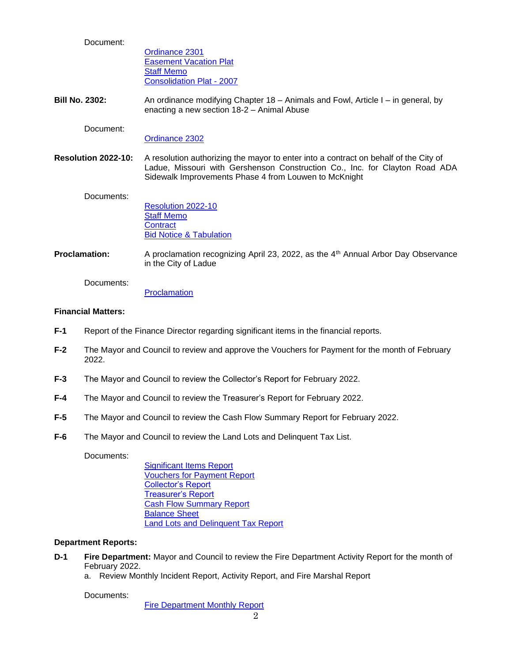Document:

[Ordinance 2301](https://www.cityofladue-mo.gov/mm/files/2022/Council%20Packets/2022-03-28/Ordinance%202301%20McKnight%20Easement.pdf) [Easement Vacation Plat](https://www.cityofladue-mo.gov/mm/files/2022/Council%20Packets/2022-03-28/Easement%20Vacation%20-%20EXHIBIT%20A.pdf) [Staff Memo](https://www.cityofladue-mo.gov/mm/files/2022/Council%20Packets/2022-03-28/201%20S.%20McKnight%20easement%20vacation%20staff%20report.pdf) [Consolidation Plat -](https://www.cityofladue-mo.gov/mm/files/2022/Council%20Packets/2022-03-28/Consolidation%20Plat%202007.pdf) 2007

**Bill No. 2302:** An ordinance modifying Chapter 18 – Animals and Fowl, Article I – in general, by enacting a new section 18-2 – Animal Abuse

Document:

[Ordinance 2302](https://www.cityofladue-mo.gov/mm/files/2022/Council%20Packets/2022-03-28/Ordinance%202302%20Animal%20Cruelty.pdf)

**Resolution 2022-10:** A resolution authorizing the mayor to enter into a contract on behalf of the City of Ladue, Missouri with Gershenson Construction Co., Inc. for Clayton Road ADA Sidewalk Improvements Phase 4 from Louwen to McKnight

Documents:

[Resolution 2022-10](https://www.cityofladue-mo.gov/mm/files/2022/Council%20Packets/2022-03-28/Res.%202022-10%20ADA%20Phase%204%20Construction%20Award.pdf) [Staff Memo](https://www.cityofladue-mo.gov/mm/files/2022/Council%20Packets/2022-03-28/Resolution%202022-10%20Memo.pdf) **[Contract](https://www.cityofladue-mo.gov/mm/files/2022/Council%20Packets/2022-03-28/Resolution%202022-10%20Contract.pdf) [Bid Notice & Tabulation](https://www.cityofladue-mo.gov/mm/files/2022/Council%20Packets/2022-03-28/Resolution%202022-10%20Bid%20Tab%20Notice.pdf)** 

**Proclamation:** A proclamation recognizing April 23, 2022, as the 4<sup>th</sup> Annual Arbor Day Observance in the City of Ladue

Documents:

**[Proclamation](https://www.cityofladue-mo.gov/mm/files/2022/Council%20Packets/2022-03-28/Proclamation%202022.pdf)** 

## **Financial Matters:**

- **F-1** Report of the Finance Director regarding significant items in the financial reports.
- **F-2** The Mayor and Council to review and approve the Vouchers for Payment for the month of February 2022.
- **F-3** The Mayor and Council to review the Collector's Report for February 2022.
- **F-4** The Mayor and Council to review the Treasurer's Report for February 2022.
- **F-5** The Mayor and Council to review the Cash Flow Summary Report for February 2022.
- **F-6** The Mayor and Council to review the Land Lots and Delinquent Tax List.

Documents:

[Significant Items Report](https://www.cityofladue-mo.gov/mm/files/2022/Council%20Packets/2022-03-28/1%20-%20Significant%20Items%20Report.pdf) [Vouchers for Payment Report](https://www.cityofladue-mo.gov/mm/files/2022/Council%20Packets/2022-03-28/2%20-%20Vouchers%20for%20Payment.pdf) [Collector's Report](https://www.cityofladue-mo.gov/mm/files/2022/Council%20Packets/2022-03-28/3%20-%20Collector) [Treasurer's Report](https://www.cityofladue-mo.gov/mm/files/2022/Council%20Packets/2022-03-28/4%20-%20Treasurer) [Cash Flow Summary Report](https://www.cityofladue-mo.gov/mm/files/2022/Council%20Packets/2022-03-28/5%20-%20Statement%20of%20Cash%20Flows%20Feb%202022.pdf) [Balance Sheet](https://www.cityofladue-mo.gov/mm/files/2022/Council%20Packets/2022-03-28/6%20-%20Balance%20Sheet%20Feb%202022.pdf) [Land Lots and Delinquent Tax Report](https://www.cityofladue-mo.gov/mm/files/2022/Council%20Packets/2022-03-28/7%20-%20Land%20Lots%20and%20Delinquent%20Tax%20Report%20Feb%2022.pdf)

## **Department Reports:**

- **D-1 Fire Department:** Mayor and Council to review the Fire Department Activity Report for the month of February 2022.
	- a. Review Monthly Incident Report, Activity Report, and Fire Marshal Report

Documents:

[Fire Department Monthly](https://www.cityofladue-mo.gov/mm/files/2022/Council%20Packets/2022-03-28/Council%20Packet%203.28.2022.pdf) Report